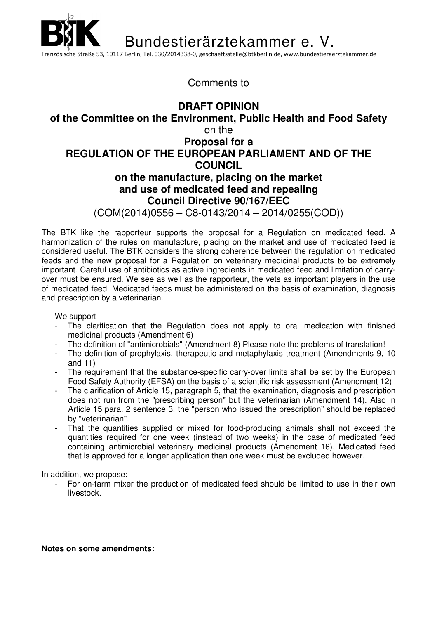İ Bundestierärztekammer e. V. Französische Straße 53, 10117 Berlin, Tel. 030/2014338-0, geschaeftsstelle@btkberlin.de, www.bundestieraerztekammer.de

Comments to

## **DRAFT OPINION of the Committee on the Environment, Public Health and Food Safety**  on the **Proposal for a REGULATION OF THE EUROPEAN PARLIAMENT AND OF THE COUNCIL on the manufacture, placing on the market and use of medicated feed and repealing Council Directive 90/167/EEC** (COM(2014)0556 – C8-0143/2014 – 2014/0255(COD))

The BTK like the rapporteur supports the proposal for a Regulation on medicated feed. A harmonization of the rules on manufacture, placing on the market and use of medicated feed is considered useful. The BTK considers the strong coherence between the regulation on medicated feeds and the new proposal for a Regulation on veterinary medicinal products to be extremely important. Careful use of antibiotics as active ingredients in medicated feed and limitation of carryover must be ensured. We see as well as the rapporteur, the vets as important players in the use of medicated feed. Medicated feeds must be administered on the basis of examination, diagnosis and prescription by a veterinarian.

We support

- The clarification that the Regulation does not apply to oral medication with finished medicinal products (Amendment 6)
- The definition of "antimicrobials" (Amendment 8) Please note the problems of translation!
- The definition of prophylaxis, therapeutic and metaphylaxis treatment (Amendments 9, 10 and 11)
- The requirement that the substance-specific carry-over limits shall be set by the European Food Safety Authority (EFSA) on the basis of a scientific risk assessment (Amendment 12)
- The clarification of Article 15, paragraph 5, that the examination, diagnosis and prescription does not run from the "prescribing person" but the veterinarian (Amendment 14). Also in Article 15 para. 2 sentence 3, the "person who issued the prescription" should be replaced by "veterinarian".
- That the quantities supplied or mixed for food-producing animals shall not exceed the quantities required for one week (instead of two weeks) in the case of medicated feed containing antimicrobial veterinary medicinal products (Amendment 16). Medicated feed that is approved for a longer application than one week must be excluded however.

In addition, we propose:

For on-farm mixer the production of medicated feed should be limited to use in their own livestock.

**Notes on some amendments:**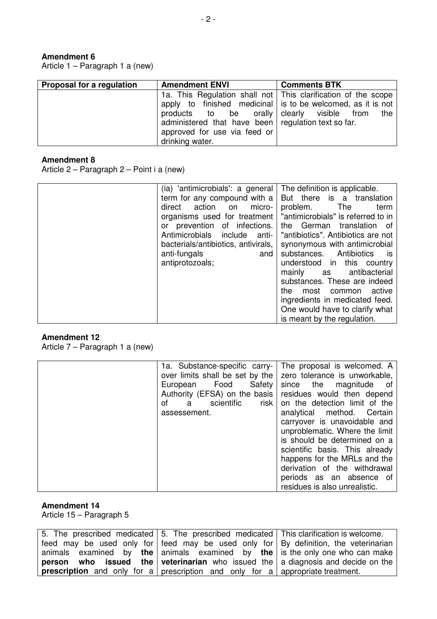## **Amendment 6**

Article 1 – Paragraph 1 a (new)

| Proposal for a regulation | <b>Amendment ENVI</b>                                 | <b>Comments BTK</b>                                             |
|---------------------------|-------------------------------------------------------|-----------------------------------------------------------------|
|                           |                                                       | 1a. This Regulation shall not   This clarification of the scope |
|                           |                                                       | apply to finished medicinal is to be welcomed, as it is not     |
|                           | products to be orally clearly visible from            | the                                                             |
|                           | administered that have been   regulation text so far. |                                                                 |
|                           | approved for use via feed or                          |                                                                 |
|                           | drinking water.                                       |                                                                 |

## **Amendment 8**

Article 2 – Paragraph 2 – Point i a (new)

| (ia) 'antimicrobials': a general    | The definition is applicable.        |
|-------------------------------------|--------------------------------------|
| term for any compound with a        | But there is a translation           |
| direct action on<br>micro-          | problem. The<br>term                 |
| organisms used for treatment        | "antimicrobials" is referred to in   |
| or prevention of infections.        | the German translation of            |
| Antimicrobials include<br>anti-     | "antibiotics". Antibiotics are not   |
| bacterials/antibiotics, antivirals, | synonymous with antimicrobial        |
| anti-fungals<br>and                 | substances. Antibiotics<br><b>IS</b> |
| antiprotozoals;                     | understood in this country           |
|                                     | mainly as antibacterial              |
|                                     | substances. These are indeed         |
|                                     | most common active<br>the            |
|                                     | ingredients in medicated feed.       |
|                                     | One would have to clarify what       |
|                                     | is meant by the regulation.          |

### **Amendment 12**

Article 7 – Paragraph 1 a (new)

|                         | 1a. Substance-specific carry-   The proposal is welcomed. A     |
|-------------------------|-----------------------------------------------------------------|
|                         | over limits shall be set by the   zero tolerance is unworkable, |
| European Food           | Safety since the magnitude<br>ot o                              |
|                         | Authority (EFSA) on the basis residues would then depend        |
| scientific<br>οf<br>a a | risk on the detection limit of the                              |
| assessement.            | analytical method. Certain                                      |
|                         | carryover is unavoidable and                                    |
|                         | unproblematic. Where the limit                                  |
|                         | is should be determined on a                                    |
|                         | scientific basis. This already                                  |
|                         | happens for the MRLs and the                                    |
|                         | derivation of the withdrawal                                    |
|                         | periods as an absence of                                        |
|                         | residues is also unrealistic.                                   |

#### **Amendment 14**

Article 15 – Paragraph 5

| 5. The prescribed medicated 5. The prescribed medicated This clarification is welcome.             |  |
|----------------------------------------------------------------------------------------------------|--|
| feed may be used only for feed may be used only for $\overline{B}$ By definition, the veterinarian |  |
| animals examined by the animals examined by the is the only one who can make                       |  |
| <b>person</b> who issued the veterinarian who issued the a diagnosis and decide on the             |  |
| <b>prescription</b> and only for a prescription and only for a appropriate treatment.              |  |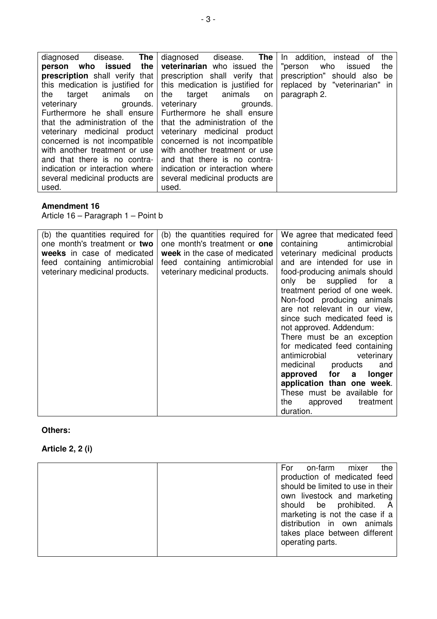| The<br>disease.<br>diagnosed                                          | diagnosed disease. The                                                            | In addition, instead of<br>the  |
|-----------------------------------------------------------------------|-----------------------------------------------------------------------------------|---------------------------------|
|                                                                       | <b>person</b> who issued the veterinarian who issued the                          | "person<br>who<br>issued<br>the |
|                                                                       | <b>prescription</b> shall verify that prescription shall verify that              | prescription" should also be    |
|                                                                       | this medication is justified for $\vert$ this medication is justified for $\vert$ | replaced by "veterinarian" in   |
| target animals<br>the<br>on                                           | the target animals on                                                             | paragraph 2.                    |
| veterinary<br>grounds.                                                | veterinary<br>grounds.                                                            |                                 |
| Furthermore he shall ensure Furthermore he shall ensure               |                                                                                   |                                 |
| that the administration of the $\vert$ that the administration of the |                                                                                   |                                 |
| veterinary medicinal product                                          | veterinary medicinal product                                                      |                                 |
| concerned is not incompatible                                         | concerned is not incompatible                                                     |                                 |
| with another treatment or use                                         | with another treatment or use                                                     |                                 |
| and that there is no contra-                                          | and that there is no contra-                                                      |                                 |
| indication or interaction where                                       | indication or interaction where                                                   |                                 |
| several medicinal products are                                        | several medicinal products are                                                    |                                 |
| used.                                                                 | used.                                                                             |                                 |

## **Amendment 16**

Article 16 – Paragraph 1 – Point b

| (b) the quantities required for | (b) the quantities required for     | We agree that medicated feed  |
|---------------------------------|-------------------------------------|-------------------------------|
| one month's treatment or two    | one month's treatment or <b>one</b> | containing antimicrobial      |
| weeks in case of medicated      | week in the case of medicated       | veterinary medicinal products |
| feed containing antimicrobial   | feed containing antimicrobial       | and are intended for use in   |
| veterinary medicinal products.  | veterinary medicinal products.      | food-producing animals should |
|                                 |                                     | only be supplied for a        |
|                                 |                                     | treatment period of one week. |
|                                 |                                     | Non-food producing animals    |
|                                 |                                     | are not relevant in our view, |
|                                 |                                     | since such medicated feed is  |
|                                 |                                     | not approved. Addendum:       |
|                                 |                                     | There must be an exception    |
|                                 |                                     | for medicated feed containing |
|                                 |                                     | antimicrobial veterinary      |
|                                 |                                     | medicinal products<br>and     |
|                                 |                                     | approved for a<br>longer      |
|                                 |                                     | application than one week.    |
|                                 |                                     |                               |
|                                 |                                     | These must be available for   |
|                                 |                                     | the approved<br>treatment     |
|                                 |                                     | duration.                     |

## **Others:**

# **Article 2, 2 (i)**

| the<br>For<br>on-farm<br>mixer                                                                                     |
|--------------------------------------------------------------------------------------------------------------------|
| production of medicated feed                                                                                       |
| should be limited to use in their                                                                                  |
| own livestock and marketing                                                                                        |
| should be prohibited. A                                                                                            |
|                                                                                                                    |
|                                                                                                                    |
|                                                                                                                    |
|                                                                                                                    |
|                                                                                                                    |
| marketing is not the case if a<br>distribution in own animals<br>takes place between different<br>operating parts. |